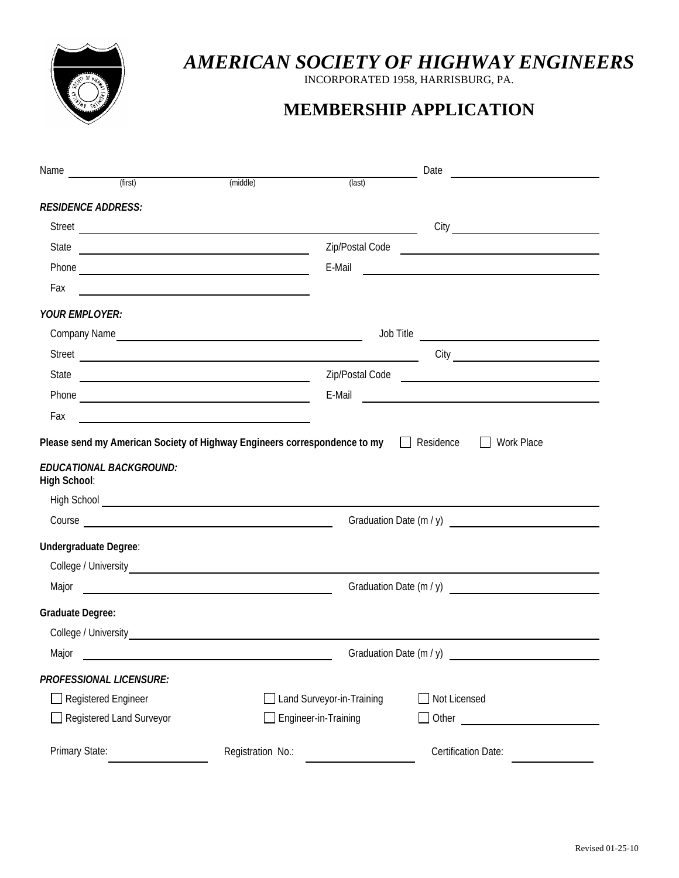

## *AMERICAN SOCIETY OF HIGHWAY ENGINEERS*

INCORPORATED 1958, HARRISBURG, PA.

## **MEMBERSHIP APPLICATION**

| Name                                           |                                                                                                                                                                                                                                                                                                                                                                                                                                                                                                                                                                                                                                                                                         |                             | Date<br><u> 1989 - Jan Samuel Barbara, martin d</u>                                                                                                                                                                                  |
|------------------------------------------------|-----------------------------------------------------------------------------------------------------------------------------------------------------------------------------------------------------------------------------------------------------------------------------------------------------------------------------------------------------------------------------------------------------------------------------------------------------------------------------------------------------------------------------------------------------------------------------------------------------------------------------------------------------------------------------------------|-----------------------------|--------------------------------------------------------------------------------------------------------------------------------------------------------------------------------------------------------------------------------------|
| (first)                                        | (middle)                                                                                                                                                                                                                                                                                                                                                                                                                                                                                                                                                                                                                                                                                | (last)                      |                                                                                                                                                                                                                                      |
| <b>RESIDENCE ADDRESS:</b>                      |                                                                                                                                                                                                                                                                                                                                                                                                                                                                                                                                                                                                                                                                                         |                             |                                                                                                                                                                                                                                      |
|                                                |                                                                                                                                                                                                                                                                                                                                                                                                                                                                                                                                                                                                                                                                                         |                             |                                                                                                                                                                                                                                      |
|                                                |                                                                                                                                                                                                                                                                                                                                                                                                                                                                                                                                                                                                                                                                                         |                             | Zip/Postal Code <u>expression and the set of the set of the set of the set of the set of the set of the set of the set of the set of the set of the set of the set of the set of the set of the set of the set of the set of the</u> |
|                                                |                                                                                                                                                                                                                                                                                                                                                                                                                                                                                                                                                                                                                                                                                         | E-Mail                      | <u> The Communication of the Communication of the Communication of the Communication of the Communication of the Communication of the Communication of the Communication of the Communication of the Communication of the Commun</u> |
| Fax                                            |                                                                                                                                                                                                                                                                                                                                                                                                                                                                                                                                                                                                                                                                                         |                             |                                                                                                                                                                                                                                      |
| <b>YOUR EMPLOYER:</b>                          |                                                                                                                                                                                                                                                                                                                                                                                                                                                                                                                                                                                                                                                                                         |                             |                                                                                                                                                                                                                                      |
|                                                |                                                                                                                                                                                                                                                                                                                                                                                                                                                                                                                                                                                                                                                                                         |                             |                                                                                                                                                                                                                                      |
|                                                |                                                                                                                                                                                                                                                                                                                                                                                                                                                                                                                                                                                                                                                                                         |                             |                                                                                                                                                                                                                                      |
| State                                          |                                                                                                                                                                                                                                                                                                                                                                                                                                                                                                                                                                                                                                                                                         |                             |                                                                                                                                                                                                                                      |
|                                                |                                                                                                                                                                                                                                                                                                                                                                                                                                                                                                                                                                                                                                                                                         |                             |                                                                                                                                                                                                                                      |
| Fax                                            |                                                                                                                                                                                                                                                                                                                                                                                                                                                                                                                                                                                                                                                                                         |                             |                                                                                                                                                                                                                                      |
| <b>EDUCATIONAL BACKGROUND:</b><br>High School: |                                                                                                                                                                                                                                                                                                                                                                                                                                                                                                                                                                                                                                                                                         |                             |                                                                                                                                                                                                                                      |
|                                                | <u> 1989 - Johann Barbara, martin amerikan basal dan berasal dan berasal dalam basal dalam basal dalam basal dala</u><br>Street<br>Zip/Postal Code <b>contained a contained a contained a contact of the contact of the contact of the contact of the contact of the contact of the contact of the contact of the contact of the contact of the contact of the cont</b><br><u> 2008 - Andrea Andrew Maria (h. 1878).</u><br><u> 1989 - Johann Barbara, martin amerikan basal dan berasal dalam basal dalam basal dalam basal dalam basal dala</u><br>Please send my American Society of Highway Engineers correspondence to my □ Residence □<br>Work Place<br>Graduation Date $(m / y)$ |                             |                                                                                                                                                                                                                                      |
| Undergraduate Degree:                          |                                                                                                                                                                                                                                                                                                                                                                                                                                                                                                                                                                                                                                                                                         |                             |                                                                                                                                                                                                                                      |
|                                                |                                                                                                                                                                                                                                                                                                                                                                                                                                                                                                                                                                                                                                                                                         |                             |                                                                                                                                                                                                                                      |
|                                                |                                                                                                                                                                                                                                                                                                                                                                                                                                                                                                                                                                                                                                                                                         |                             |                                                                                                                                                                                                                                      |
| <b>Graduate Degree:</b>                        |                                                                                                                                                                                                                                                                                                                                                                                                                                                                                                                                                                                                                                                                                         |                             |                                                                                                                                                                                                                                      |
|                                                |                                                                                                                                                                                                                                                                                                                                                                                                                                                                                                                                                                                                                                                                                         |                             |                                                                                                                                                                                                                                      |
| Major                                          |                                                                                                                                                                                                                                                                                                                                                                                                                                                                                                                                                                                                                                                                                         |                             |                                                                                                                                                                                                                                      |
| <b>PROFESSIONAL LICENSURE:</b>                 |                                                                                                                                                                                                                                                                                                                                                                                                                                                                                                                                                                                                                                                                                         |                             |                                                                                                                                                                                                                                      |
| Registered Engineer                            |                                                                                                                                                                                                                                                                                                                                                                                                                                                                                                                                                                                                                                                                                         | Land Surveyor-in-Training   | Not Licensed                                                                                                                                                                                                                         |
| Registered Land Surveyor                       |                                                                                                                                                                                                                                                                                                                                                                                                                                                                                                                                                                                                                                                                                         | $\Box$ Engineer-in-Training | $\Box$ Other                                                                                                                                                                                                                         |
| Primary State:                                 | Registration No.:                                                                                                                                                                                                                                                                                                                                                                                                                                                                                                                                                                                                                                                                       |                             | Certification Date:                                                                                                                                                                                                                  |